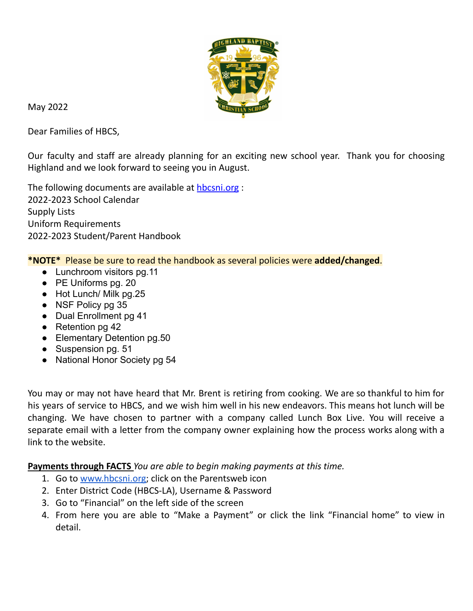

May 2022

Dear Families of HBCS,

Our faculty and staff are already planning for an exciting new school year. Thank you for choosing Highland and we look forward to seeing you in August.

The following documents are available at **[hbcsni.org](http://www.hbcsni.org)** : 2022-2023 School Calendar Supply Lists Uniform Requirements 2022-2023 Student/Parent Handbook

**\*NOTE\*** Please be sure to read the handbook as several policies were **added/changed**.

- Lunchroom visitors pg.11
- PE Uniforms pg. 20
- Hot Lunch/ Milk pg.25
- NSF Policy pg 35
- Dual Enrollment pg 41
- Retention pg 42
- Elementary Detention pg.50
- Suspension pg. 51
- National Honor Society pg 54

You may or may not have heard that Mr. Brent is retiring from cooking. We are so thankful to him for his years of service to HBCS, and we wish him well in his new endeavors. This means hot lunch will be changing. We have chosen to partner with a company called Lunch Box Live. You will receive a separate email with a letter from the company owner explaining how the process works along with a link to the website.

**Payments through FACTS** *You are able to begin making payments at this time.*

- 1. Go to [www.hbcsni.org](http://www.hbcsni.org); click on the Parentsweb icon
- 2. Enter District Code (HBCS-LA), Username & Password
- 3. Go to "Financial" on the left side of the screen
- 4. From here you are able to "Make a Payment" or click the link "Financial home" to view in detail.